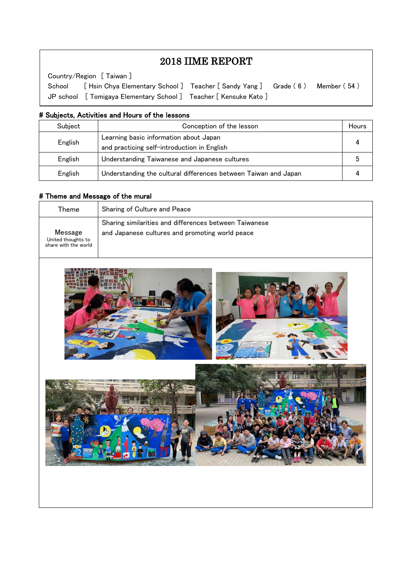# 2018 IIME REPORT

School [ Hsin Chya Elementary School ] Teacher [ Sandy Yang ] Grade ( 6 ) Member ( 54 ) Country/Region [ Taiwan ] JP school [ Tomigaya Elementary School ] Teacher [ Kensuke Kato ]

#### # Subjects, Activities and Hours of the lessons

| Subject | Conception of the lesson                                        |  |
|---------|-----------------------------------------------------------------|--|
| English | Learning basic information about Japan                          |  |
|         | and practicing self-introduction in English                     |  |
| English | Understanding Taiwanese and Japanese cultures                   |  |
| English | Understanding the cultural differences between Taiwan and Japan |  |

#### # Theme and Message of the mural

 $\overline{\phantom{a}}$  $\overline{\phantom{a}}$  $\overline{\phantom{a}}$ 

 $\overline{\phantom{a}}$  $\overline{a}$ 

| Theme                                                 | Sharing of Culture and Peace                                                                              |
|-------------------------------------------------------|-----------------------------------------------------------------------------------------------------------|
| Message<br>United thoughts to<br>share with the world | Sharing similarities and differences between Taiwanese<br>and Japanese cultures and promoting world peace |

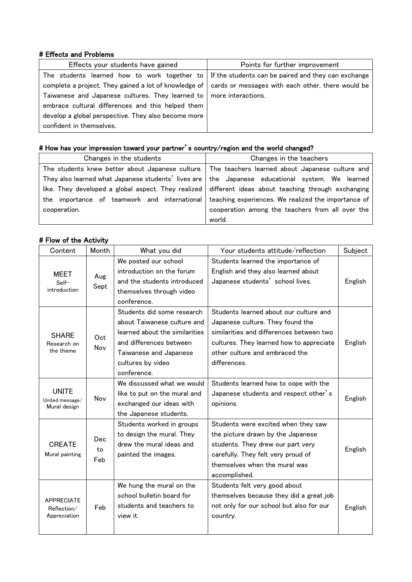#### # Effects and Problems

| Effects your students have gained                     | Points for further improvement                      |
|-------------------------------------------------------|-----------------------------------------------------|
| The students learned how to work together to          | If the students can be paired and they can exchange |
| complete a project. They gained a lot of knowledge of | cards or messages with each other, there would be   |
| Taiwanese and Japanese cultures. They learned to      | more interactions.                                  |
| embrace cultural differences and this helped them     |                                                     |
| develop a global perspective. They also become more   |                                                     |
| confident in themselves.                              |                                                     |

## # How has your impression toward your partner's country/region and the world changed?

| Changes in the students | Changes in the teachers                                                                                 |
|-------------------------|---------------------------------------------------------------------------------------------------------|
|                         | The students knew better about Japanese culture. The teachers learned about Japanese culture and        |
|                         | They also learned what Japanese students' lives are   the Japanese educational system. We learned       |
|                         | like. They developed a global aspect. They realized   different ideas about teaching through exchanging |
|                         | the importance of teamwork and international teaching experiences. We realized the importance of        |
| cooperation.            | cooperation among the teachers from all over the                                                        |
|                         | world.                                                                                                  |

## # Flow of the Activity

| Content                                          | Month                   | What you did                   | Your students attitude/reflection        | Subject |  |
|--------------------------------------------------|-------------------------|--------------------------------|------------------------------------------|---------|--|
| <b>MEET</b><br>Self-<br>introduction             | Aug                     | We posted our school           | Students learned the importance of       |         |  |
|                                                  |                         | introduction on the forum      | English and they also learned about      |         |  |
|                                                  | Sept                    | and the students introduced    | Japanese students' school lives.         | English |  |
|                                                  |                         | themselves through video       |                                          |         |  |
|                                                  |                         | conference.                    |                                          |         |  |
|                                                  |                         | Students did some research     | Students learned about our culture and   |         |  |
|                                                  |                         | about Taiwanese culture and    | Japanese culture. They found the         |         |  |
| <b>SHARE</b>                                     | Oct                     | learned about the similarities | similarities and differences between two |         |  |
| Research on                                      | Nov                     | and differences between        | cultures. They learned how to appreciate | English |  |
| the theme                                        |                         | Taiwanese and Japanese         | other culture and embraced the           |         |  |
|                                                  |                         | cultures by video              | differences.                             |         |  |
|                                                  |                         | conference.                    |                                          |         |  |
|                                                  |                         | We discussed what we would     | Students learned how to cope with the    |         |  |
| <b>UNITE</b>                                     | Nov                     | like to put on the mural and   | Japanese students and respect other's    | English |  |
| United message/<br>Mural design                  |                         | exchanged our ideas with       | opinions.                                |         |  |
|                                                  |                         | the Japanese students.         |                                          |         |  |
|                                                  | <b>Dec</b><br>to<br>Feb | Students worked in groups      | Students were excited when they saw      |         |  |
|                                                  |                         | to design the mural. They      | the picture drawn by the Japanese        |         |  |
| <b>CREATE</b>                                    |                         | drew the mural ideas and       | students. They drew our part very        |         |  |
| Mural painting                                   |                         | painted the images.            | carefully. They felt very proud of       | English |  |
|                                                  |                         |                                | themselves when the mural was            |         |  |
|                                                  |                         |                                | accomplished.                            |         |  |
| <b>APPRECIATE</b><br>Reflection/<br>Appreciation | Feb                     | We hung the mural on the       | Students felt very good about            |         |  |
|                                                  |                         | school bulletin board for      | themselves because they did a great job  |         |  |
|                                                  |                         | students and teachers to       | not only for our school but also for our | English |  |
|                                                  |                         | view it.                       | country.                                 |         |  |
|                                                  |                         |                                |                                          |         |  |